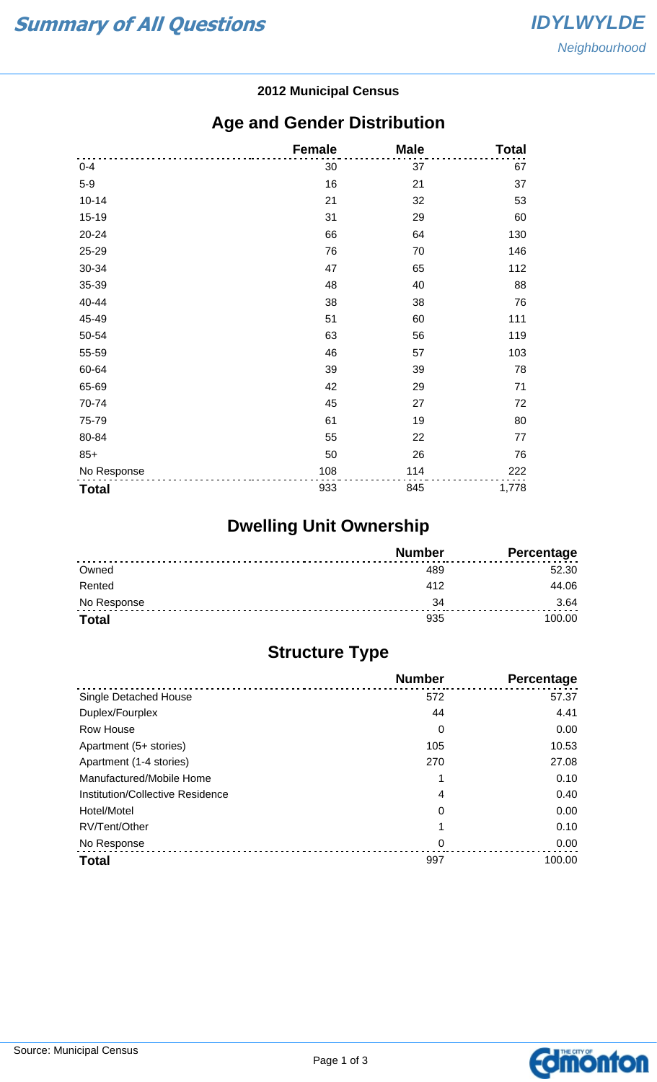#### **2012 Municipal Census**

### **Age and Gender Distribution**

|              | <b>Female</b> | <b>Male</b> | <b>Total</b> |
|--------------|---------------|-------------|--------------|
| $0 - 4$      | 30            | 37          | 67           |
| $5-9$        | 16            | 21          | 37           |
| $10 - 14$    | 21            | 32          | 53           |
| $15 - 19$    | 31            | 29          | 60           |
| 20-24        | 66            | 64          | 130          |
| 25-29        | 76            | 70          | 146          |
| 30-34        | 47            | 65          | 112          |
| 35-39        | 48            | 40          | 88           |
| 40-44        | 38            | 38          | 76           |
| 45-49        | 51            | 60          | 111          |
| 50-54        | 63            | 56          | 119          |
| 55-59        | 46            | 57          | 103          |
| 60-64        | 39            | 39          | 78           |
| 65-69        | 42            | 29          | 71           |
| 70-74        | 45            | 27          | 72           |
| 75-79        | 61            | 19          | 80           |
| 80-84        | 55            | 22          | 77           |
| $85+$        | 50            | 26          | 76           |
| No Response  | 108           | 114         | 222          |
| <b>Total</b> | 933           | 845         | 1,778        |

# **Dwelling Unit Ownership**

|              | <b>Number</b> | Percentage |
|--------------|---------------|------------|
| Owned        |               | 52.30      |
| Rented       | 412           | 44.06      |
| No Response  | 34            | 3.64       |
| <b>Total</b> | 935           | 100.00     |

## **Structure Type**

|                                  | <b>Number</b> | Percentage |
|----------------------------------|---------------|------------|
| Single Detached House            | 572           | 57.37      |
| Duplex/Fourplex                  | 44            | 4.41       |
| Row House                        | 0             | 0.00       |
| Apartment (5+ stories)           | 105           | 10.53      |
| Apartment (1-4 stories)          | 270           | 27.08      |
| Manufactured/Mobile Home         |               | 0.10       |
| Institution/Collective Residence | 4             | 0.40       |
| Hotel/Motel                      | 0             | 0.00       |
| RV/Tent/Other                    |               | 0.10       |
| No Response                      | 0             | 0.00       |
| <b>Total</b>                     | 997           | 100.00     |

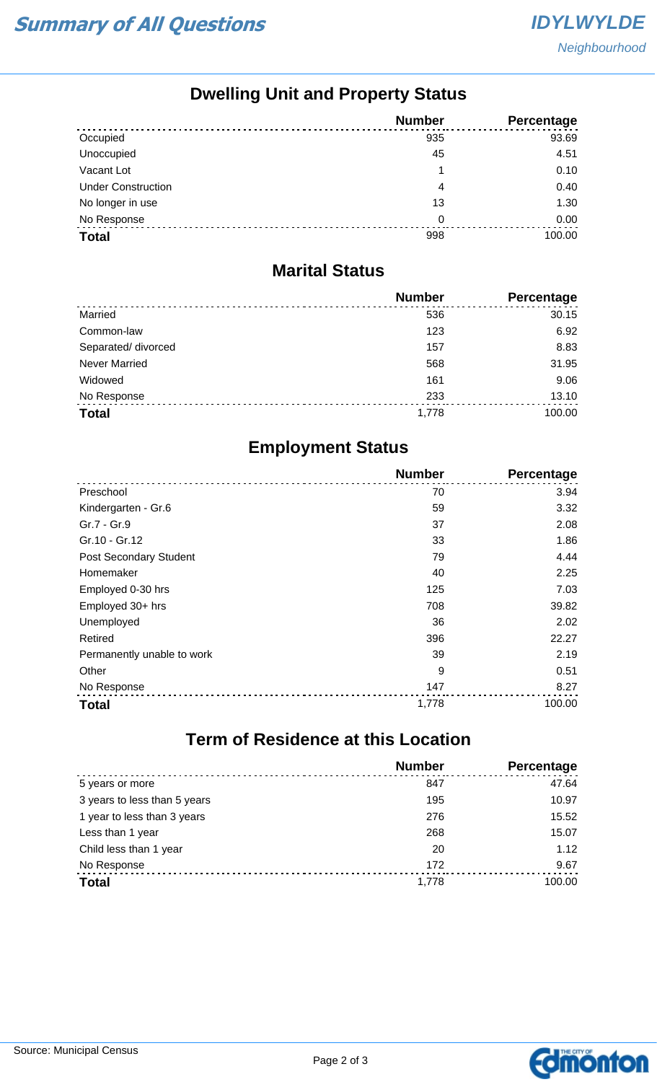## **Dwelling Unit and Property Status**

|                           | <b>Number</b> | Percentage |
|---------------------------|---------------|------------|
| Occupied                  | 935           | 93.69      |
| Unoccupied                | 45            | 4.51       |
| Vacant Lot                |               | 0.10       |
| <b>Under Construction</b> | 4             | 0.40       |
| No longer in use          | 13            | 1.30       |
| No Response               | 0             | 0.00       |
| <b>Total</b>              | 998           | 100.00     |

#### **Marital Status**

|                      | <b>Number</b> | Percentage |
|----------------------|---------------|------------|
| Married              | 536           | 30.15      |
| Common-law           | 123           | 6.92       |
| Separated/ divorced  | 157           | 8.83       |
| <b>Never Married</b> | 568           | 31.95      |
| Widowed              | 161           | 9.06       |
| No Response          | 233           | 13.10      |
| <b>Total</b>         | 1,778         | 100.00     |

### **Employment Status**

|                               | <b>Number</b> | Percentage |
|-------------------------------|---------------|------------|
| Preschool                     | 70            | 3.94       |
| Kindergarten - Gr.6           | 59            | 3.32       |
| Gr.7 - Gr.9                   | 37            | 2.08       |
| Gr.10 - Gr.12                 | 33            | 1.86       |
| <b>Post Secondary Student</b> | 79            | 4.44       |
| Homemaker                     | 40            | 2.25       |
| Employed 0-30 hrs             | 125           | 7.03       |
| Employed 30+ hrs              | 708           | 39.82      |
| Unemployed                    | 36            | 2.02       |
| Retired                       | 396           | 22.27      |
| Permanently unable to work    | 39            | 2.19       |
| Other                         | 9             | 0.51       |
| No Response                   | 147           | 8.27       |
| <b>Total</b>                  | 1,778         | 100.00     |

# **Term of Residence at this Location**

|                              | <b>Number</b> | Percentage |
|------------------------------|---------------|------------|
| 5 years or more              | 847           | 47.64      |
| 3 years to less than 5 years | 195           | 10.97      |
| 1 year to less than 3 years  | 276           | 15.52      |
| Less than 1 year             | 268           | 15.07      |
| Child less than 1 year       | 20            | 1.12       |
| No Response                  | 172           | 9.67       |
| <b>Total</b>                 | 1.778         | 100.00     |